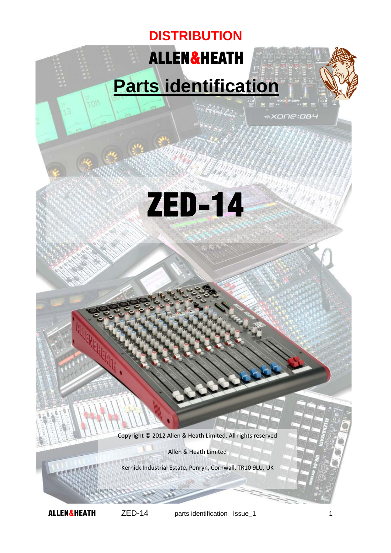## ALLEN&HEATH **DISTRIBUTION**

## **Parts identification**

«хопе: **ов**ч



Copyright © 2012 Allen & Heath Limited. All rights reserved

Allen & Heath Limited

Kernick Industrial Estate, Penryn, Cornwall, TR10 9LU, UK

**MOT**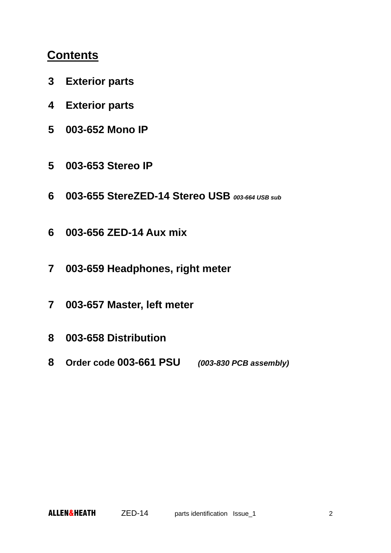## **Contents**

- **3 Exterior parts**
- **4 Exterior parts**
- **5 003-652 Mono IP**
- **5 003-653 Stereo IP**
- **6 003-655 StereZED-14 Stereo USB** *003-664 USB sub*
- **6 003-656 ZED-14 Aux mix**
- **7 003-659 Headphones, right meter**
- **7 003-657 Master, left meter**
- **8 003-658 Distribution**
- **8 Order code 003-661 PSU** *(003-830 PCB assembly)*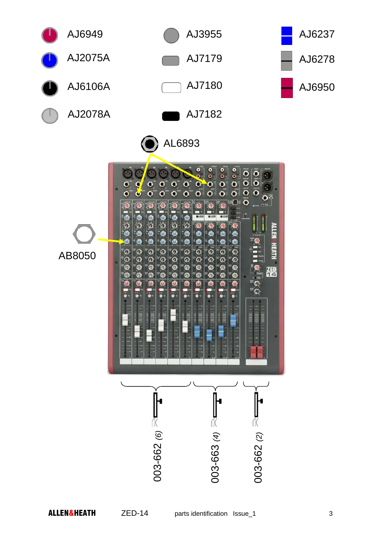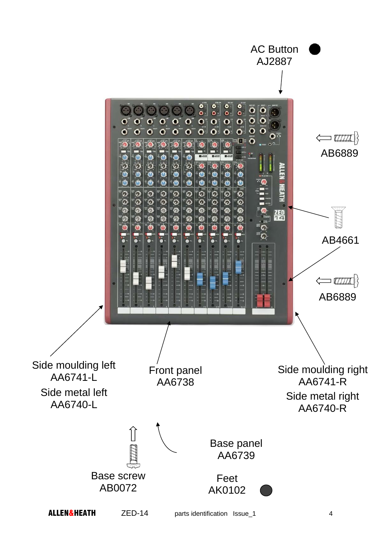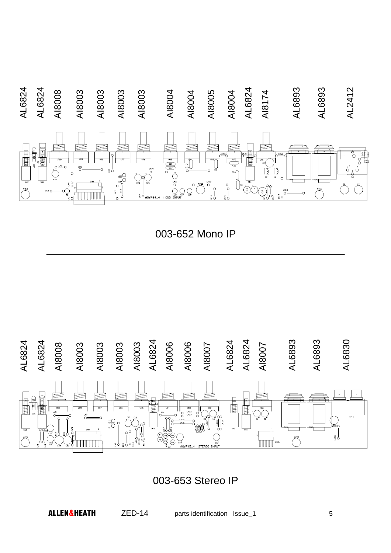

003-652 Mono IP



003-653 Stereo IP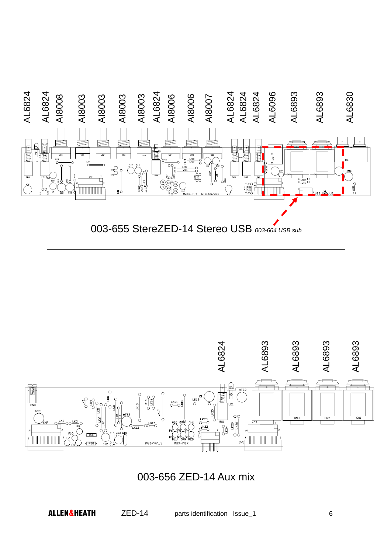

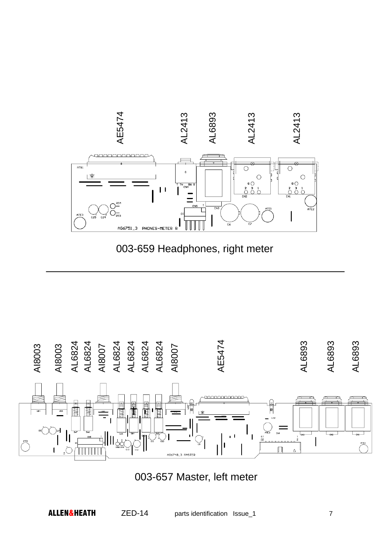



003-657 Master, left meter